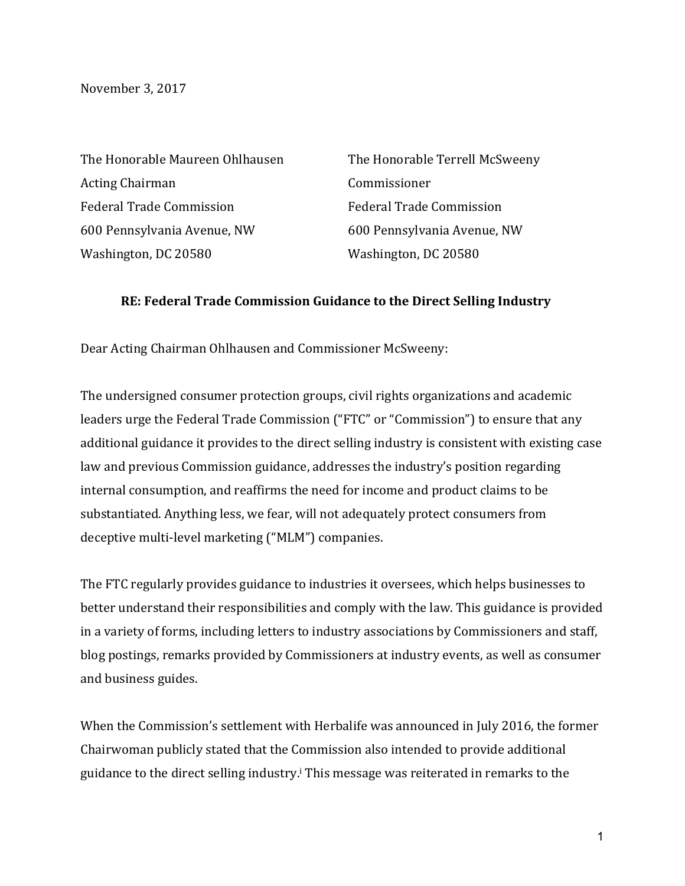November 3, 2017

The Honorable Maureen Ohlhausen Acting Chairman Federal Trade Commission 600 Pennsylvania Avenue, NW Washington, DC 20580

The Honorable Terrell McSweeny Commissioner Federal Trade Commission 600 Pennsylvania Avenue, NW Washington, DC 20580

## **RE: Federal Trade Commission Guidance to the Direct Selling Industry**

Dear Acting Chairman Ohlhausen and Commissioner McSweeny:

The undersigned consumer protection groups, civil rights organizations and academic leaders urge the Federal Trade Commission ("FTC" or "Commission") to ensure that any additional guidance it provides to the direct selling industry is consistent with existing case law and previous Commission guidance, addresses the industry's position regarding internal consumption, and reaffirms the need for income and product claims to be substantiated. Anything less, we fear, will not adequately protect consumers from deceptive multi-level marketing ("MLM") companies.

The FTC regularly provides guidance to industries it oversees, which helps businesses to better understand their responsibilities and comply with the law. This guidance is provided in a variety of forms, including letters to industry associations by Commissioners and staff, blog postings, remarks provided by Commissioners at industry events, as well as consumer and business guides.

When the Commission's settlement with Herbalife was announced in July 2016, the former Chairwoman publicly stated that the Commission also intended to provide additional guidance to the direct selling industry.<sup>i</sup> This message was reiterated in remarks to the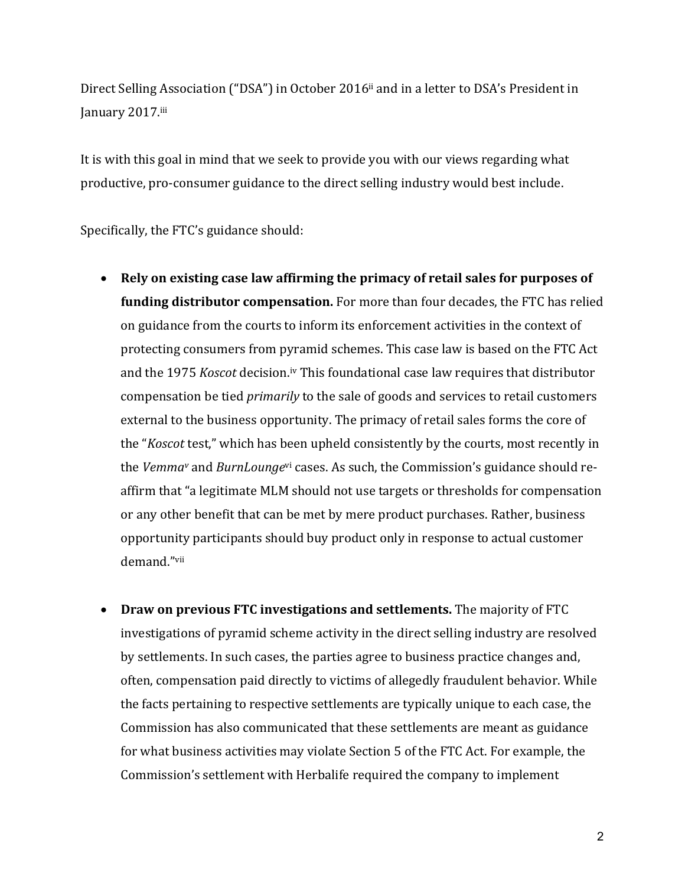Direct Selling Association ("DSA") in October 2016<sup>ii</sup> and in a letter to DSA's President in January 2017.iii

It is with this goal in mind that we seek to provide you with our views regarding what productive, pro-consumer guidance to the direct selling industry would best include.

Specifically, the FTC's guidance should:

- Rely on existing case law affirming the primacy of retail sales for purposes of **funding distributor compensation.** For more than four decades, the FTC has relied on guidance from the courts to inform its enforcement activities in the context of protecting consumers from pyramid schemes. This case law is based on the FTC Act and the 1975 *Koscot* decision.<sup>iv</sup> This foundational case law requires that distributor compensation be tied *primarily* to the sale of goods and services to retail customers external to the business opportunity. The primacy of retail sales forms the core of the "*Koscot* test," which has been upheld consistently by the courts, most recently in the *Vemma*<sup>v</sup> and *BurnLounge*<sup>vi</sup> cases. As such, the Commission's guidance should reaffirm that "a legitimate MLM should not use targets or thresholds for compensation or any other benefit that can be met by mere product purchases. Rather, business opportunity participants should buy product only in response to actual customer demand."vii
- Draw on previous FTC investigations and settlements. The majority of FTC investigations of pyramid scheme activity in the direct selling industry are resolved by settlements. In such cases, the parties agree to business practice changes and, often, compensation paid directly to victims of allegedly fraudulent behavior. While the facts pertaining to respective settlements are typically unique to each case, the Commission has also communicated that these settlements are meant as guidance for what business activities may violate Section 5 of the FTC Act. For example, the Commission's settlement with Herbalife required the company to implement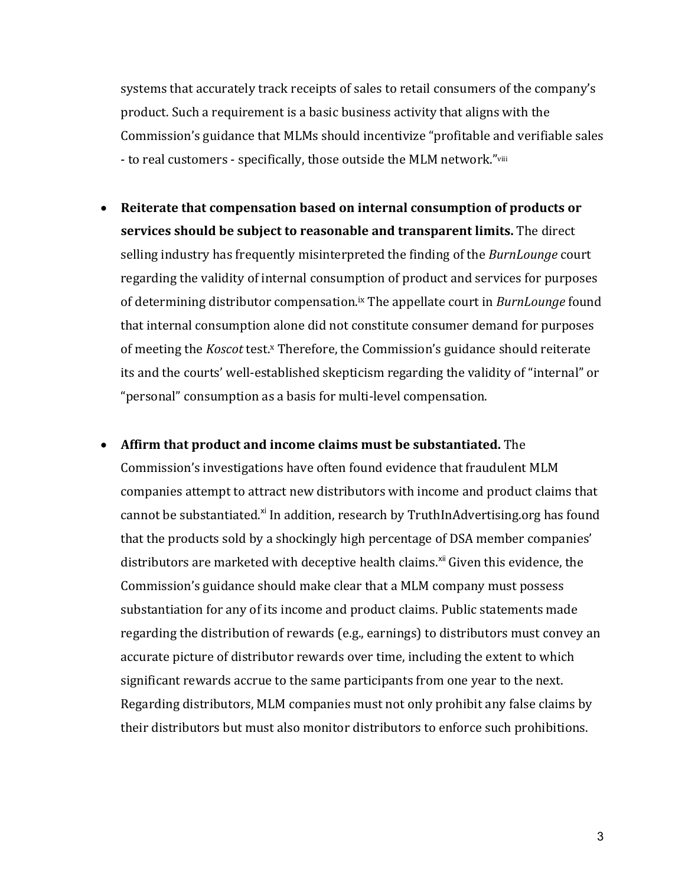systems that accurately track receipts of sales to retail consumers of the company's product. Such a requirement is a basic business activity that aligns with the Commission's guidance that MLMs should incentivize "profitable and verifiable sales - to real customers - specifically, those outside the MLM network."viii

- Reiterate that compensation based on internal consumption of products or **services should be subject to reasonable and transparent limits.** The direct selling industry has frequently misinterpreted the finding of the *BurnLounge* court regarding the validity of internal consumption of product and services for purposes of determining distributor compensation.<sup>ix</sup> The appellate court in *BurnLounge* found that internal consumption alone did not constitute consumer demand for purposes of meeting the *Koscot* test.<sup>x</sup> Therefore, the Commission's guidance should reiterate its and the courts' well-established skepticism regarding the validity of "internal" or "personal" consumption as a basis for multi-level compensation.
- Affirm that product and income claims must be substantiated. The Commission's investigations have often found evidence that fraudulent MLM companies attempt to attract new distributors with income and product claims that cannot be substantiated.<sup>xi</sup> In addition, research by TruthInAdvertising.org has found that the products sold by a shockingly high percentage of DSA member companies' distributors are marketed with deceptive health claims.<sup>xii</sup> Given this evidence, the Commission's guidance should make clear that a MLM company must possess substantiation for any of its income and product claims. Public statements made regarding the distribution of rewards (e.g., earnings) to distributors must convey an accurate picture of distributor rewards over time, including the extent to which significant rewards accrue to the same participants from one year to the next. Regarding distributors, MLM companies must not only prohibit any false claims by their distributors but must also monitor distributors to enforce such prohibitions.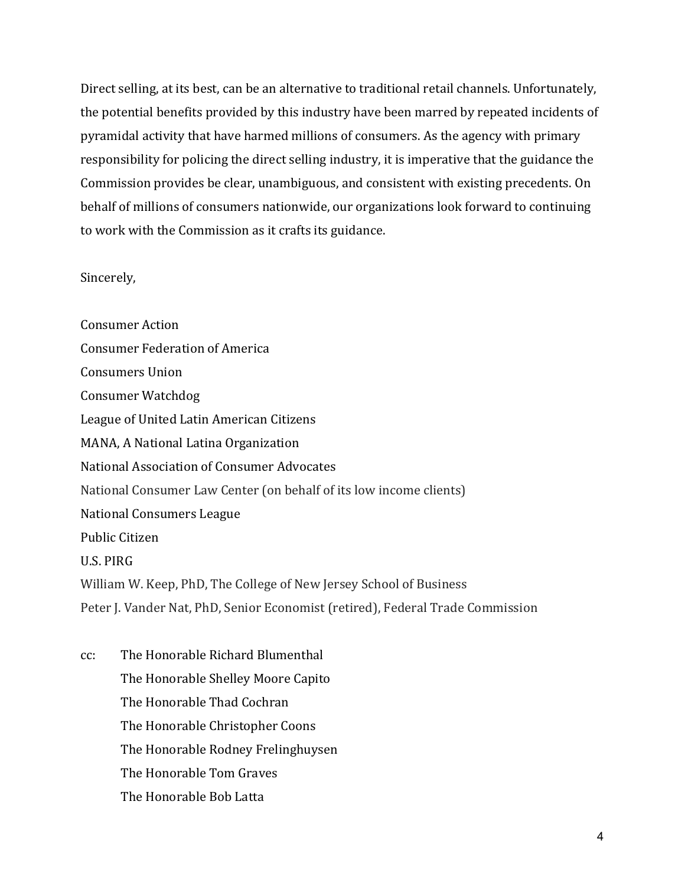Direct selling, at its best, can be an alternative to traditional retail channels. Unfortunately, the potential benefits provided by this industry have been marred by repeated incidents of pyramidal activity that have harmed millions of consumers. As the agency with primary responsibility for policing the direct selling industry, it is imperative that the guidance the Commission provides be clear, unambiguous, and consistent with existing precedents. On behalf of millions of consumers nationwide, our organizations look forward to continuing to work with the Commission as it crafts its guidance.

Sincerely,

Consumer Action Consumer Federation of America Consumers Union Consumer Watchdog League of United Latin American Citizens MANA, A National Latina Organization National Association of Consumer Advocates National Consumer Law Center (on behalf of its low income clients) National Consumers League Public Citizen U.S. PIRG William W. Keep, PhD, The College of New Jersey School of Business Peter J. Vander Nat, PhD, Senior Economist (retired), Federal Trade Commission

cc: The Honorable Richard Blumenthal The Honorable Shelley Moore Capito The Honorable Thad Cochran The Honorable Christopher Coons The Honorable Rodney Frelinghuysen The Honorable Tom Graves The Honorable Bob Latta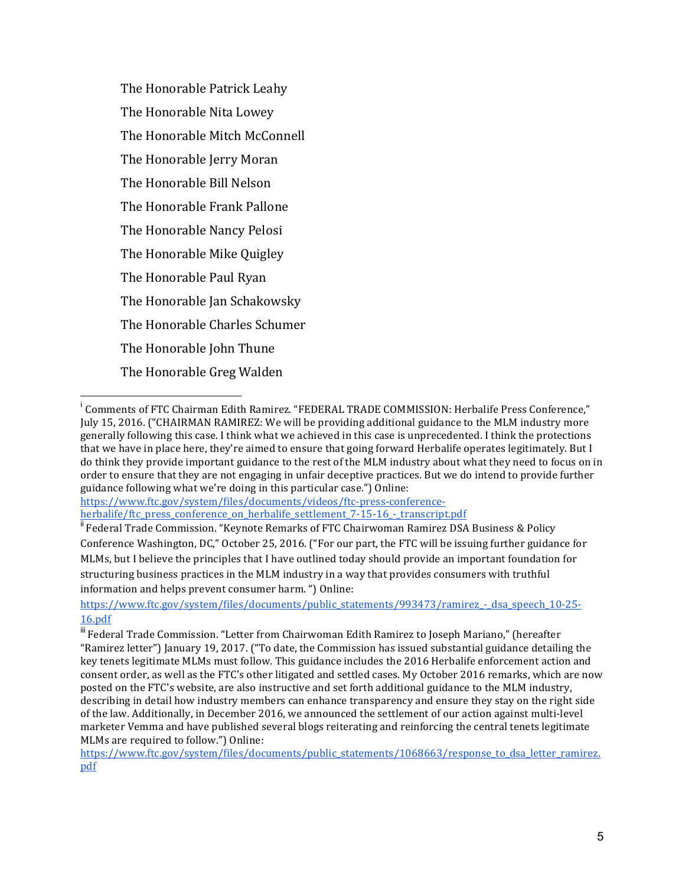The Honorable Patrick Leahy The Honorable Nita Lowey The Honorable Mitch McConnell The Honorable Jerry Moran The Honorable Bill Nelson The Honorable Frank Pallone The Honorable Nancy Pelosi The Honorable Mike Quigley The Honorable Paul Ryan The Honorable Jan Schakowsky The Honorable Charles Schumer The Honorable Iohn Thune The Honorable Greg Walden

https://www.ftc.gov/system/files/documents/videos/ftc-press-conferenceherbalife/ftc\_press\_conference\_on\_herbalife\_settlement\_7-15-16\_-\_transcript.pdf

<sup>ii</sup> Federal Trade Commission. "Keynote Remarks of FTC Chairwoman Ramirez DSA Business & Policy Conference Washington, DC," October 25, 2016. ("For our part, the FTC will be issuing further guidance for MLMs, but I believe the principles that I have outlined today should provide an important foundation for structuring business practices in the MLM industry in a way that provides consumers with truthful information and helps prevent consumer harm. ") Online:

https://www.ftc.gov/system/files/documents/public\_statements/993473/ramirez\_-\_dsa\_speech\_10-25-16.pdf

<sup>.&</sup>lt;br>i  $^{\text{i}}$  Comments of FTC Chairman Edith Ramirez. "FEDERAL TRADE COMMISSION: Herbalife Press Conference," July 15, 2016. ("CHAIRMAN RAMIREZ: We will be providing additional guidance to the MLM industry more generally following this case. I think what we achieved in this case is unprecedented. I think the protections that we have in place here, they're aimed to ensure that going forward Herbalife operates legitimately. But I do think they provide important guidance to the rest of the MLM industry about what they need to focus on in order to ensure that they are not engaging in unfair deceptive practices. But we do intend to provide further guidance following what we're doing in this particular case.") Online:

 $\text{``}$  Federal Trade Commission. "Letter from Chairwoman Edith Ramirez to Joseph Mariano," (hereafter "Ramirez letter") January 19, 2017. ("To date, the Commission has issued substantial guidance detailing the key tenets legitimate MLMs must follow. This guidance includes the 2016 Herbalife enforcement action and consent order, as well as the FTC's other litigated and settled cases. My October 2016 remarks, which are now posted on the FTC's website, are also instructive and set forth additional guidance to the MLM industry, describing in detail how industry members can enhance transparency and ensure they stay on the right side of the law. Additionally, in December 2016, we announced the settlement of our action against multi-level marketer Vemma and have published several blogs reiterating and reinforcing the central tenets legitimate MLMs are required to follow.") Online:

https://www.ftc.gov/system/files/documents/public\_statements/1068663/response\_to\_dsa\_letter\_ramirez. pdf